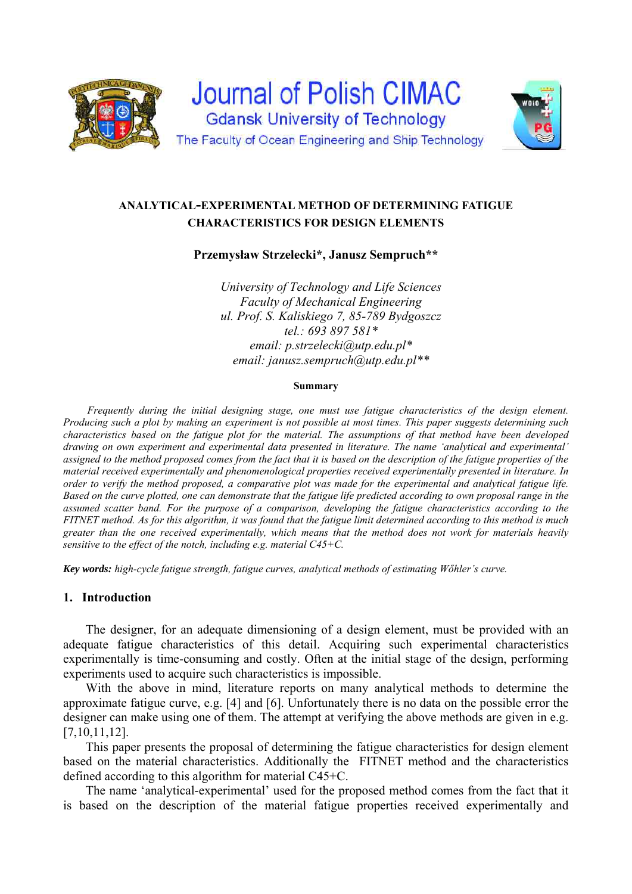

# **ANALYTICAL-EXPERIMENTAL METHOD OF DETERMINING FATIGUE CHARACTERISTICS FOR DESIGN ELEMENTS**

**Przemysław Strzelecki\*, Janusz Sempruch\*\***

*University of Technology and Life Sciences Faculty of Mechanical Engineering ul. Prof. S. Kaliskiego 7, 85-789 Bydgoszcz tel.: 693 897 581\* email: p.strzelecki@utp.edu.pl\* email: janusz.sempruch@utp.edu.pl\*\** 

#### **Summary**

*Frequently during the initial designing stage, one must use fatigue characteristics of the design element. Producing such a plot by making an experiment is not possible at most times. This paper suggests determining such characteristics based on the fatigue plot for the material. The assumptions of that method have been developed drawing on own experiment and experimental data presented in literature. The name 'analytical and experimental'*  assigned to the method proposed comes from the fact that it is based on the description of the fatigue properties of the *material received experimentally and phenomenological properties received experimentally presented in literature. In order to verify the method proposed, a comparative plot was made for the experimental and analytical fatigue life. Based on the curve plotted, one can demonstrate that the fatigue life predicted according to own proposal range in the assumed scatter band. For the purpose of a comparison, developing the fatigue characteristics according to the FITNET method. As for this algorithm, it was found that the fatigue limit determined according to this method is much greater than the one received experimentally, which means that the method does not work for materials heavily sensitive to the effect of the notch, including e.g. material C45+C.* 

*Key words: high-cycle fatigue strength, fatigue curves, analytical methods of estimating Wőhler's curve.* 

# **1. Introduction**

The designer, for an adequate dimensioning of a design element, must be provided with an adequate fatigue characteristics of this detail. Acquiring such experimental characteristics experimentally is time-consuming and costly. Often at the initial stage of the design, performing experiments used to acquire such characteristics is impossible.

With the above in mind, literature reports on many analytical methods to determine the approximate fatigue curve, e.g. [\[4\]](#page-7-0) and [\[6\].](#page-7-1) Unfortunately there is no data on the possible error the designer can make using one of them. The attempt at verifying the above methods are given in e.g. [7,10,11,12].

This paper presents the proposal of determining the fatigue characteristics for design element based on the material characteristics. Additionally the FITNET method and the characteristics defined according to this algorithm for material C45+C.

The name 'analytical-experimental' used for the proposed method comes from the fact that it is based on the description of the material fatigue properties received experimentally and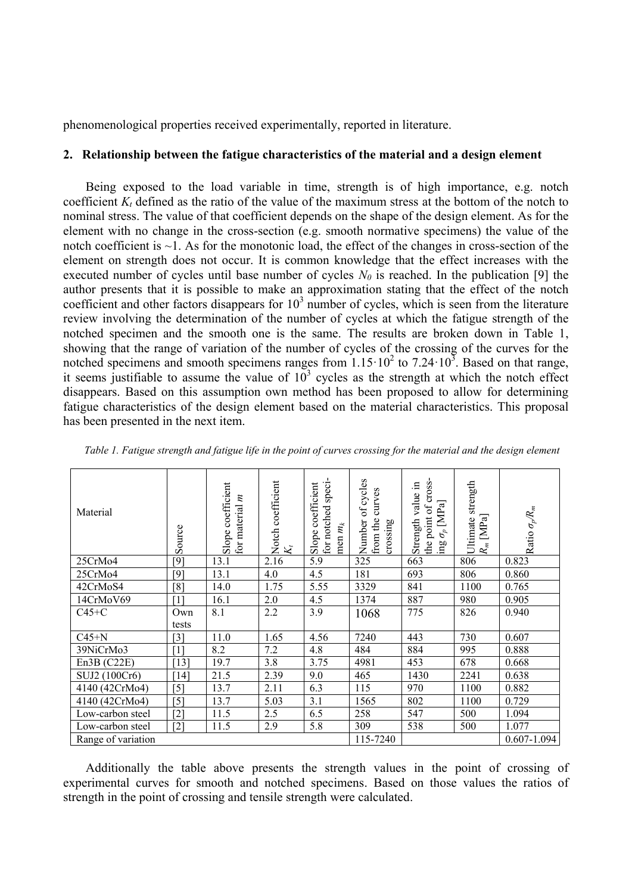phenomenological properties received experimentally, reported in literature.

#### **2. Relationship between the fatigue characteristics of the material and a design element**

Being exposed to the load variable in time, strength is of high importance, e.g. notch coefficient  $K_t$  defined as the ratio of the value of the maximum stress at the bottom of the notch to nominal stress. The value of that coefficient depends on the shape of the design element. As for the element with no change in the cross-section (e.g. smooth normative specimens) the value of the notch coefficient is  $\sim$ 1. As for the monotonic load, the effect of the changes in cross-section of the element on strength does not occur. It is common knowledge that the effect increases with the executed number of cycles until base number of cycles *N0* is reached. In the publication [\[9\]](#page-7-2) the author presents that it is possible to make an approximation stating that the effect of the notch coefficient and other factors disappears for  $10<sup>3</sup>$  number of cycles, which is seen from the literature review involving the determination of the number of cycles at which the fatigue strength of the notched specimen and the smooth one is the same. The results are broken down in [Table 1,](#page-1-0) showing that the range of variation of the number of cycles of the crossing of the curves for the notched specimens and smooth specimens ranges from  $1.15 \cdot 10^2$  to  $7.24 \cdot 10^3$ . Based on that range, it seems justifiable to assume the value of  $10^3$  cycles as the strength at which the notch effect disappears. Based on this assumption own method has been proposed to allow for determining fatigue characteristics of the design element based on the material characteristics. This proposal has been presented in the next item.

| Material           | Source            | Slope coefficient<br>$\boldsymbol{z}$<br>for material | Notch coefficient<br>$K_{l}$ | for notched speci-<br>coefficient<br>men $m_k$<br>Slope | of cycles<br>curves<br>from the<br>Number<br>crossing | the point of cross-<br>Ξ.<br>Strength value<br>$[MPa]$<br>$\sigma^p$<br>$\bar{\rm au}$ | strength<br>$R_m\,[\mathrm{MPa}]$<br>Ultimate | Ratio $\sigma_p\!R_m$ |
|--------------------|-------------------|-------------------------------------------------------|------------------------------|---------------------------------------------------------|-------------------------------------------------------|----------------------------------------------------------------------------------------|-----------------------------------------------|-----------------------|
| 25CrMo4            | [9]               | 13.1                                                  | 2.16                         | 5.9                                                     | 325                                                   | 663                                                                                    | 806                                           | 0.823                 |
| 25CrMo4            | [9]               | 13.1                                                  | 4.0                          | 4.5                                                     | 181                                                   | 693                                                                                    | 806                                           | 0.860                 |
| 42CrMoS4           | [8]               | 14.0                                                  | 1.75                         | 5.55                                                    | 3329                                                  | 841                                                                                    | 1100                                          | 0.765                 |
| 14CrMoV69          | $\lceil 1 \rceil$ | 16.1                                                  | 2.0                          | 4.5                                                     | 1374                                                  | 887                                                                                    | 980                                           | 0.905                 |
| $C45+C$            | Own               | 8.1                                                   | 2.2                          | 3.9                                                     | 1068                                                  | 775                                                                                    | 826                                           | 0.940                 |
|                    | tests             |                                                       |                              |                                                         |                                                       |                                                                                        |                                               |                       |
| $C45+N$            | $[3]$             | 11.0                                                  | 1.65                         | 4.56                                                    | 7240                                                  | 443                                                                                    | 730                                           | 0.607                 |
| 39NiCrMo3          | [1]               | 8.2                                                   | 7.2                          | 4.8                                                     | 484                                                   | 884                                                                                    | 995                                           | 0.888                 |
| En3B (C22E)        | [13]              | 19.7                                                  | 3.8                          | 3.75                                                    | 4981                                                  | 453                                                                                    | 678                                           | 0.668                 |
| SUJ2 (100Cr6)      | [14]              | 21.5                                                  | 2.39                         | 9.0                                                     | 465                                                   | 1430                                                                                   | 2241                                          | 0.638                 |
| 4140 (42CrMo4)     | $[5]$             | 13.7                                                  | 2.11                         | 6.3                                                     | 115                                                   | 970                                                                                    | 1100                                          | 0.882                 |
| 4140 (42CrMo4)     | $[5]$             | 13.7                                                  | 5.03                         | 3.1                                                     | 1565                                                  | 802                                                                                    | 1100                                          | 0.729                 |
| Low-carbon steel   | $\lceil 2 \rceil$ | 11.5                                                  | 2.5                          | 6.5                                                     | 258                                                   | 547                                                                                    | 500                                           | 1.094                 |
| Low-carbon steel   | $[2]$             | 11.5                                                  | 2.9                          | 5.8                                                     | 309                                                   | 538                                                                                    | 500                                           | 1.077                 |
| Range of variation |                   |                                                       |                              |                                                         | 115-7240                                              |                                                                                        |                                               | $0.607 - 1.094$       |

<span id="page-1-0"></span>*Table 1. Fatigue strength and fatigue life in the point of curves crossing for the material and the design element* 

Additionally the table above presents the strength values in the point of crossing of experimental curves for smooth and notched specimens. Based on those values the ratios of strength in the point of crossing and tensile strength were calculated.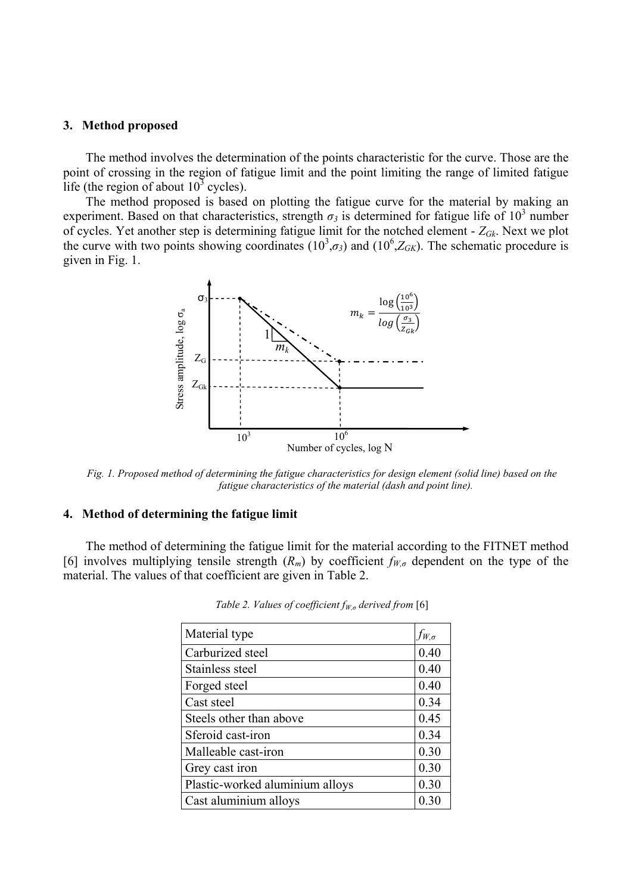#### **3. Method proposed**

The method involves the determination of the points characteristic for the curve. Those are the point of crossing in the region of fatigue limit and the point limiting the range of limited fatigue life (the region of about  $10^3$  cycles).

The method proposed is based on plotting the fatigue curve for the material by making an experiment. Based on that characteristics, strength  $\sigma_3$  is determined for fatigue life of 10<sup>3</sup> number of cycles. Yet another step is determining fatigue limit for the notched element - *ZGk*. Next we plot the curve with two points showing coordinates  $(10^3, \sigma_3)$  and  $(10^6, Z_{GK})$ . The schematic procedure is given in [Fig. 1.](#page-2-0)



<span id="page-2-0"></span>*Fig. 1. Proposed method of determining the fatigue characteristics for design element (solid line) based on the fatigue characteristics of the material (dash and point line).* 

### **4. Method of determining the fatigue limit**

<span id="page-2-1"></span>The method of determining the fatigue limit for the material according to the FITNET method [\[6\]](#page-7-1) involves multiplying tensile strength  $(R_m)$  by coefficient  $f_{W,\sigma}$  dependent on the type of the material. The values of that coefficient are given in [Table](#page-2-1) 2.

| Material type                   | $f_{W,\sigma}$ |
|---------------------------------|----------------|
| Carburized steel                | 0.40           |
| Stainless steel                 | 0.40           |
| Forged steel                    | 0.40           |
| Cast steel                      | 0.34           |
| Steels other than above         | 0.45           |
| Sferoid cast-iron               | 0.34           |
| Malleable cast-iron             | 0.30           |
| Grey cast iron                  | 0.30           |
| Plastic-worked aluminium alloys | 0.30           |
| Cast aluminium alloys           |                |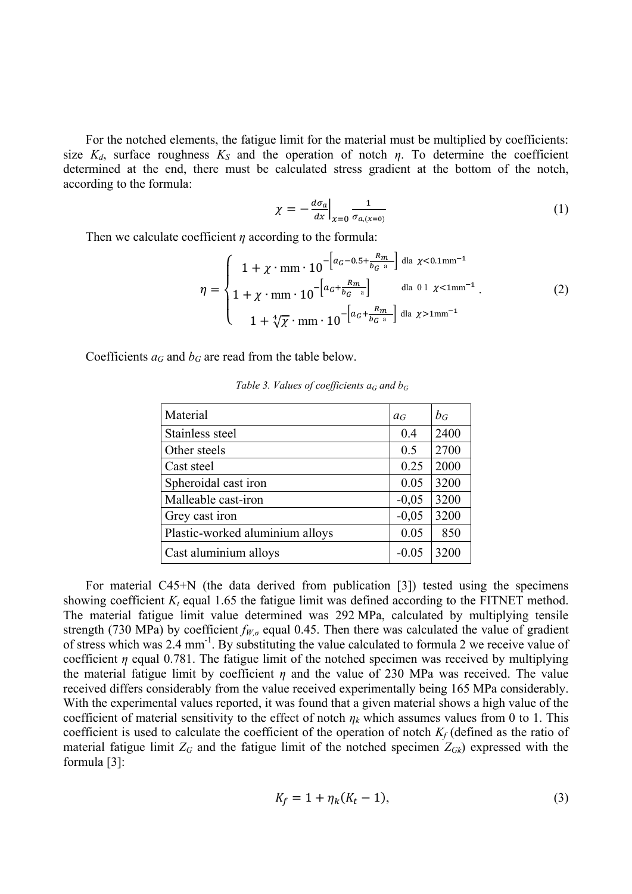For the notched elements, the fatigue limit for the material must be multiplied by coefficients: size  $K_d$ , surface roughness  $K_S$  and the operation of notch  $\eta$ . To determine the coefficient determined at the end, there must be calculated stress gradient at the bottom of the notch, according to the formula:

$$
\chi = -\frac{d\sigma_a}{dx}\Big|_{x=0} \frac{1}{\sigma_{a,(x=0)}}\tag{1}
$$

Then we calculate coefficient *η* according to the formula:

$$
\eta = \begin{cases} 1 + \chi \cdot \text{mm} \cdot 10^{-\left[a_G - 0.5 + \frac{R_m}{b_G a}\right]} \text{ dla } \chi < 0.1 \text{mm}^{-1} \\ 1 + \chi \cdot \text{mm} \cdot 10^{-\left[a_G + \frac{R_m}{b_G a}\right]} \text{ dla } 0.1 \chi < 1 \text{mm}^{-1}. \\ 1 + \sqrt[4]{\chi} \cdot \text{mm} \cdot 10^{-\left[a_G + \frac{R_m}{b_G a}\right]} \text{ dla } \chi > 1 \text{mm}^{-1} \end{cases} (2)
$$

Coefficients  $a_G$  and  $b_G$  are read from the table below.

| Material                        | $a_G$   | $b_G$ |
|---------------------------------|---------|-------|
| Stainless steel                 | 0.4     | 2400  |
| Other steels                    | 0.5     | 2700  |
| Cast steel                      | 0.25    | 2000  |
| Spheroidal cast iron            | 0.05    | 3200  |
| Malleable cast-iron             | $-0,05$ | 3200  |
| Grey cast iron                  | $-0,05$ | 3200  |
| Plastic-worked aluminium alloys | 0.05    | 850   |
| Cast aluminium alloys           | $-0.05$ | 3200  |

*Table 3. Values of coefficients*  $a_G$  *and*  $b_G$ 

For material C45+N (the data derived from publication [\[3\]\)](#page-7-5) tested using the specimens showing coefficient  $K_t$  equal 1.65 the fatigue limit was defined according to the FITNET method. The material fatigue limit value determined was 292 MPa, calculated by multiplying tensile strength (730 MPa) by coefficient  $f_{W,\sigma}$  equal 0.45. Then there was calculated the value of gradient of stress which was 2.4 mm<sup>-1</sup>. By substituting the value calculated to formula 2 we receive value of coefficient *η* equal 0.781. The fatigue limit of the notched specimen was received by multiplying the material fatigue limit by coefficient  $\eta$  and the value of 230 MPa was received. The value received differs considerably from the value received experimentally being 165 MPa considerably. With the experimental values reported, it was found that a given material shows a high value of the coefficient of material sensitivity to the effect of notch  $\eta_k$  which assumes values from 0 to 1. This coefficient is used to calculate the coefficient of the operation of notch *Kf* (defined as the ratio of material fatigue limit  $Z_G$  and the fatigue limit of the notched specimen  $Z_{Gk}$ ) expressed with the formula [\[3\]:](#page-7-5)

$$
K_f = 1 + \eta_k (K_t - 1),
$$
\n(3)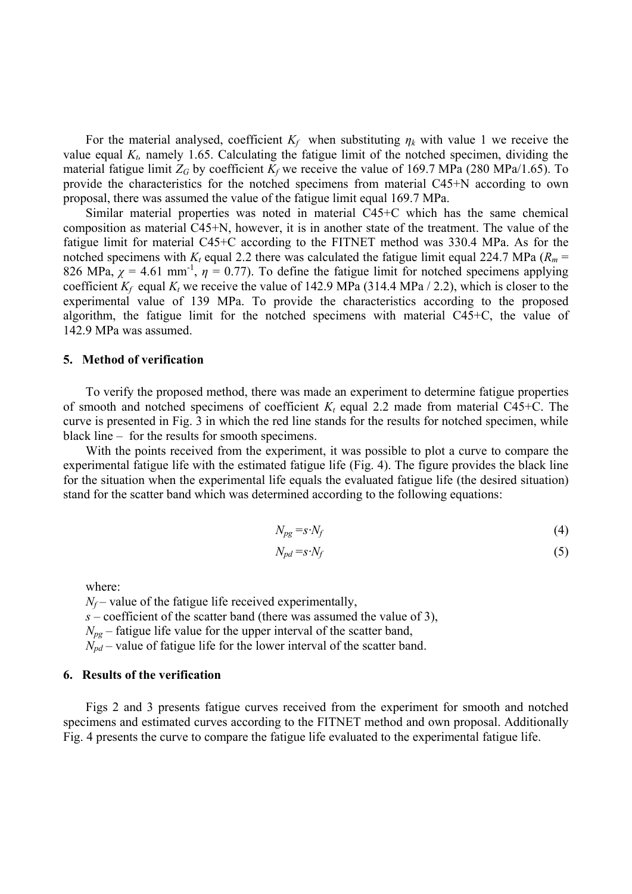For the material analysed, coefficient  $K_f$  when substituting  $\eta_k$  with value 1 we receive the value equal  $K<sub>t</sub>$  namely 1.65. Calculating the fatigue limit of the notched specimen, dividing the material fatigue limit  $Z_G$  by coefficient  $K_f$  we receive the value of 169.7 MPa (280 MPa/1.65). To provide the characteristics for the notched specimens from material C45+N according to own proposal, there was assumed the value of the fatigue limit equal 169.7 MPa.

Similar material properties was noted in material C45+C which has the same chemical composition as material C45+N, however, it is in another state of the treatment. The value of the fatigue limit for material C45+C according to the FITNET method was 330.4 MPa. As for the notched specimens with  $K_t$  equal 2.2 there was calculated the fatigue limit equal 224.7 MPa ( $R_m$  = 826 MPa,  $\chi$  = 4.61 mm<sup>-1</sup>,  $\eta$  = 0.77). To define the fatigue limit for notched specimens applying coefficient  $K_f$  equal  $K_t$  we receive the value of 142.9 MPa (314.4 MPa / 2.2), which is closer to the experimental value of 139 MPa. To provide the characteristics according to the proposed algorithm, the fatigue limit for the notched specimens with material C45+C, the value of 142.9 MPa was assumed.

#### **5. Method of verification**

To verify the proposed method, there was made an experiment to determine fatigue properties of smooth and notched specimens of coefficient *K<sup>t</sup>* equal 2.2 made from material C45+C. The curve is presented in [Fig. 3](#page-5-0) in which the red line stands for the results for notched specimen, while black line – for the results for smooth specimens.

With the points received from the experiment, it was possible to plot a curve to compare the experimental fatigue life with the estimated fatigue life [\(Fig. 4\)](#page-6-0). The figure provides the black line for the situation when the experimental life equals the evaluated fatigue life (the desired situation) stand for the scatter band which was determined according to the following equations:

$$
N_{pg} = s \cdot N_f \tag{4}
$$

$$
N_{pd} = s \cdot N_f \tag{5}
$$

where:

 $N_f$  – value of the fatigue life received experimentally, *s* – coefficient of the scatter band (there was assumed the value of 3),  $N_{pg}$  – fatigue life value for the upper interval of the scatter band,  $N_{pd}$  – value of fatigue life for the lower interval of the scatter band.

#### **6. Results of the verification**

Figs 2 and 3 presents fatigue curves received from the experiment for smooth and notched specimens and estimated curves according to the FITNET method and own proposal. Additionally [Fig. 4](#page-6-0) presents the curve to compare the fatigue life evaluated to the experimental fatigue life.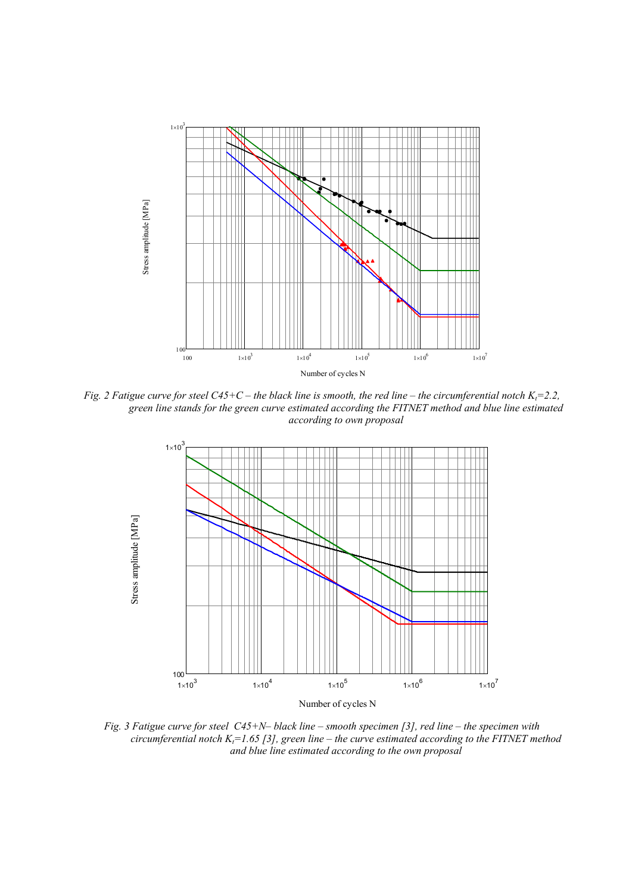

*Fig. 2 Fatigue curve for steel C45+C – the black line is smooth, the red line – the circumferential notch K<sub><i>t</sub>*=2.2,</sub> *green line stands for the green curve estimated according the FITNET method and blue line estimated according to own proposal* 



<span id="page-5-0"></span>*Fig. 3 Fatigue curve for steel C45+N– black line – smooth specimen [\[3\],](#page-7-5) red line – the specimen with circumferential notch Kt=1.65 [\[3\],](#page-7-5) green line – the curve estimated according to the FITNET method and blue line estimated according to the own proposal*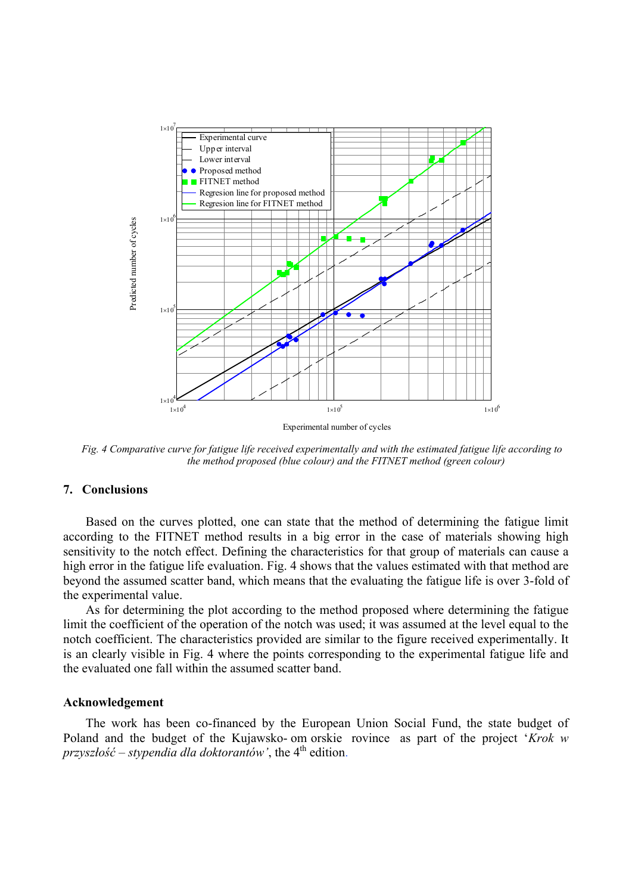

<span id="page-6-0"></span>*Fig. 4 Comparative curve for fatigue life received experimentally and with the estimated fatigue life according to the method proposed (blue colour) and the FITNET method (green colour)* 

#### **7. Conclusions**

Based on the curves plotted, one can state that the method of determining the fatigue limit according to the FITNET method results in a big error in the case of materials showing high sensitivity to the notch effect. Defining the characteristics for that group of materials can cause a high error in the fatigue life evaluation. Fig. 4 shows that the values estimated with that method are beyond the assumed scatter band, which means that the evaluating the fatigue life is over 3-fold of the experimental value.

As for determining the plot according to the method proposed where determining the fatigue limit the coefficient of the operation of the notch was used; it was assumed at the level equal to the notch coefficient. The characteristics provided are similar to the figure received experimentally. It is an clearly visible in Fig. 4 where the points corresponding to the experimental fatigue life and the evaluated one fall within the assumed scatter band.

#### **Acknowledgement**

The work has been co-financed by the European Union Social Fund, the state budget of Poland and the budget of the Kujawsko- om orskie rovince as part of the project '*Krok w przyszłość – stypendia dla doktorantów'*, the 4<sup>th</sup> edition.